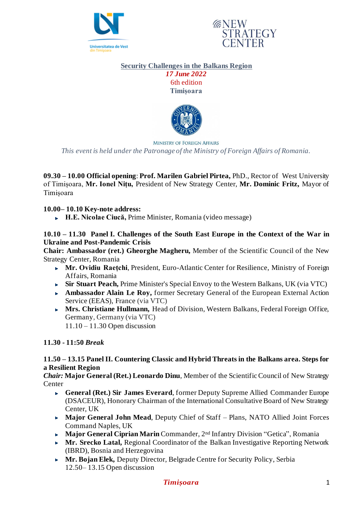



# **Security Challenges in the Balkans Region** *17 June 2022*

6th edition **Timișoara**



**MINISTRY OF FOREIGN AFFAIRS** 

*This event is held under the Patronage of the Ministry of Foreign Affairs of Romania.*

**09.30 – 10.00 Official opening**: **Prof. Marilen Gabriel Pirtea,** PhD., Rector of West University of Timișoara, **Mr. Ionel Nițu,** President of New Strategy Center, **Mr. Dominic Fritz,** Mayor of Timișoara

#### **10.00– 10.10 Key-note address:**

**H.E. Nicolae Ciucă,** Prime Minister, Romania (video message)

#### **10.10 – 11.30 Panel I. Challenges of the South East Europe in the Context of the War in Ukraine and Post-Pandemic Crisis**

**Chair: Ambassador (ret.) Gheorghe Magheru,** Member of the Scientific Council of the New Strategy Center, Romania

- **Mr. Ovidiu Raețchi**, President, Euro-Atlantic Center for Resilience, Ministry of Foreign Affairs, Romania
- **Sir Stuart Peach,** Prime Minister's Special Envoy to the Western Balkans, UK (via VTC)
- **Ambassador Alain Le Roy,** former Secretary General of the European External Action Service (EEAS), France (via VTC)
- **Mrs. Christiane Hullmann,** Head of Division, Western Balkans, Federal Foreign Office, Germany, Germany (via VTC)

11.10 – 11.30 Open discussion

#### **11.30 - 11:50** *Break*

#### **11.50 – 13.15 Panel II. Countering Classic and Hybrid Threats in the Balkans area. Steps for a Resilient Region**

*Chair:* **Major General (Ret.) Leonardo Dinu**, Member of the Scientific Council of New Strategy Center

- **General (Ret.) Sir James Everard**, former Deputy Supreme Allied Commander Europe (DSACEUR), Honorary Chairman of the International Consultative Board of New Strategy Center, UK
- **Major General John Mead**, Deputy Chief of Staff Plans, NATO Allied Joint Forces Command Naples, UK
- **Major General Ciprian Marin** Commander, 2nd Infantry Division "Getica", Romania
- **Mr. Srecko Latal, Regional Coordinator of the Balkan Investigative Reporting Network** (IBRD), Bosnia and Herzegovina
- **Mr. Bojan Elek,** Deputy Director, Belgrade Centre for Security Policy, Serbia 12.50– 13.15 Open discussion

#### *Timișoara* 1